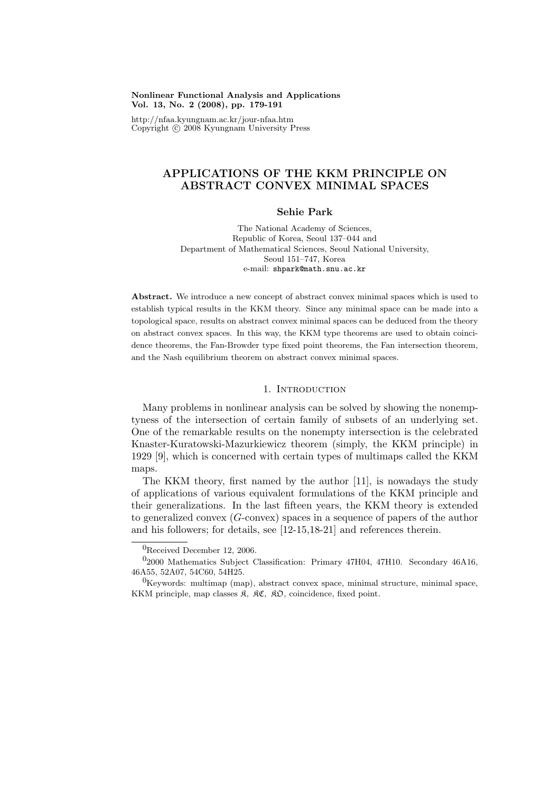### Nonlinear Functional Analysis and Applications Vol. 13, No. 2 (2008), pp. 179-191

http://nfaa.kyungnam.ac.kr/jour-nfaa.htm Copyright  $\odot$  2008 Kyungnam University Press

# APPLICATIONS OF THE KKM PRINCIPLE ON ABSTRACT CONVEX MINIMAL SPACES

## Sehie Park

The National Academy of Sciences, Republic of Korea, Seoul 137–044 and Department of Mathematical Sciences, Seoul National University, Seoul 151–747, Korea e-mail: shpark@math.snu.ac.kr

Abstract. We introduce a new concept of abstract convex minimal spaces which is used to establish typical results in the KKM theory. Since any minimal space can be made into a topological space, results on abstract convex minimal spaces can be deduced from the theory on abstract convex spaces. In this way, the KKM type theorems are used to obtain coincidence theorems, the Fan-Browder type fixed point theorems, the Fan intersection theorem, and the Nash equilibrium theorem on abstract convex minimal spaces.

## 1. INTRODUCTION

Many problems in nonlinear analysis can be solved by showing the nonemptyness of the intersection of certain family of subsets of an underlying set. One of the remarkable results on the nonempty intersection is the celebrated Knaster-Kuratowski-Mazurkiewicz theorem (simply, the KKM principle) in 1929 [9], which is concerned with certain types of multimaps called the KKM maps.

The KKM theory, first named by the author [11], is nowadays the study of applications of various equivalent formulations of the KKM principle and their generalizations. In the last fifteen years, the KKM theory is extended to generalized convex (G-convex) spaces in a sequence of papers of the author and his followers; for details, see [12-15,18-21] and references therein.

<sup>0</sup>Received December 12, 2006.

 $0<sub>2000</sub>$  Mathematics Subject Classification: Primary 47H04, 47H10. Secondary 46A16, 46A55, 52A07, 54C60, 54H25.

 ${}^{0}$ Keywords: multimap (map), abstract convex space, minimal structure, minimal space, KKM principle, map classes  $\mathfrak{K}$ ,  $\mathfrak{K} \mathfrak{C}$ ,  $\mathfrak{K} \mathfrak{O}$ , coincidence, fixed point.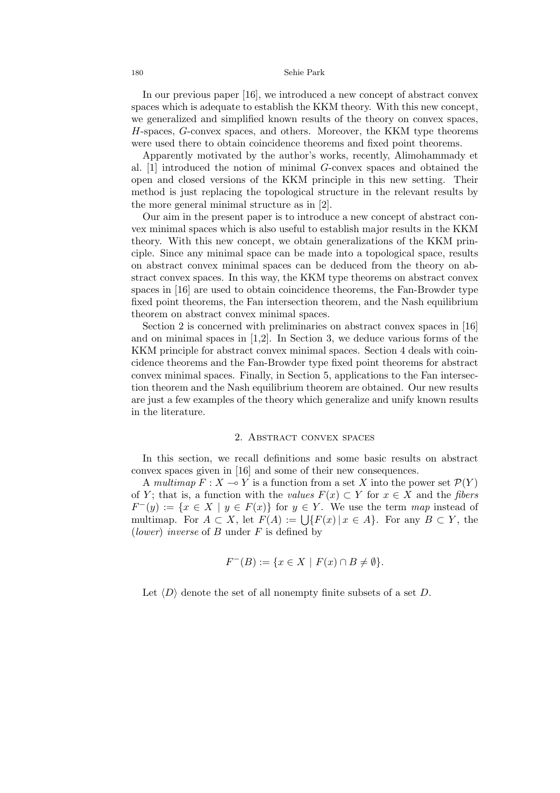### 180 Sehie Park

In our previous paper [16], we introduced a new concept of abstract convex spaces which is adequate to establish the KKM theory. With this new concept, we generalized and simplified known results of the theory on convex spaces, H-spaces, G-convex spaces, and others. Moreover, the KKM type theorems were used there to obtain coincidence theorems and fixed point theorems.

Apparently motivated by the author's works, recently, Alimohammady et al. [1] introduced the notion of minimal G-convex spaces and obtained the open and closed versions of the KKM principle in this new setting. Their method is just replacing the topological structure in the relevant results by the more general minimal structure as in [2].

Our aim in the present paper is to introduce a new concept of abstract convex minimal spaces which is also useful to establish major results in the KKM theory. With this new concept, we obtain generalizations of the KKM principle. Since any minimal space can be made into a topological space, results on abstract convex minimal spaces can be deduced from the theory on abstract convex spaces. In this way, the KKM type theorems on abstract convex spaces in [16] are used to obtain coincidence theorems, the Fan-Browder type fixed point theorems, the Fan intersection theorem, and the Nash equilibrium theorem on abstract convex minimal spaces.

Section 2 is concerned with preliminaries on abstract convex spaces in [16] and on minimal spaces in  $[1,2]$ . In Section 3, we deduce various forms of the KKM principle for abstract convex minimal spaces. Section 4 deals with coincidence theorems and the Fan-Browder type fixed point theorems for abstract convex minimal spaces. Finally, in Section 5, applications to the Fan intersection theorem and the Nash equilibrium theorem are obtained. Our new results are just a few examples of the theory which generalize and unify known results in the literature.

## 2. Abstract convex spaces

In this section, we recall definitions and some basic results on abstract convex spaces given in [16] and some of their new consequences.

A multimap  $F: X \longrightarrow Y$  is a function from a set X into the power set  $\mathcal{P}(Y)$ of Y; that is, a function with the values  $F(x) \subset Y$  for  $x \in X$  and the fibers  $F^-(y) := \{x \in X \mid y \in F(x)\}\$ for  $y \in Y$ . We use the term map instead of  $F^{-}(y) := \{x \in A \mid y \in F(x)\}$  for  $y \in Y$ . We use the term map instead of multimap. For  $A \subset X$ , let  $F(A) := \bigcup \{F(x) \mid x \in A\}$ . For any  $B \subset Y$ , the (*lower*) inverse of  $B$  under  $F$  is defined by

$$
F^{-}(B) := \{ x \in X \mid F(x) \cap B \neq \emptyset \}.
$$

Let  $\langle D \rangle$  denote the set of all nonempty finite subsets of a set D.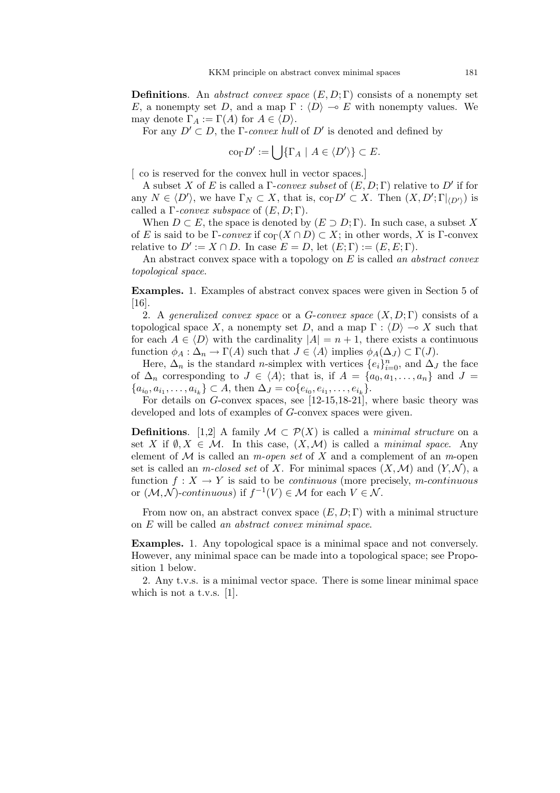**Definitions.** An *abstract convex space*  $(E, D; \Gamma)$  consists of a nonempty set E, a nonempty set D, and a map  $\Gamma : \langle D \rangle \to E$  with nonempty values. We may denote  $\Gamma_A := \Gamma(A)$  for  $A \in \langle D \rangle$ .

For any  $D' \subset D$ , the *Γ-convex hull* of  $D'$  is denoted and defined by

$$
\mathrm{co}_{\Gamma} D' := \bigcup \{ \Gamma_A \mid A \in \langle D' \rangle \} \subset E.
$$

[ co is reserved for the convex hull in vector spaces.]

A subset X of E is called a  $\Gamma$ -convex subset of  $(E, D; \Gamma)$  relative to D' if for any  $N \in \langle D' \rangle$ , we have  $\Gamma_N \subset X$ , that is,  $\text{co}_{\Gamma}D' \subset X$ . Then  $(X, D'; \Gamma|_{\langle D' \rangle})$  is called a  $\Gamma$ -convex subspace of  $(E, D; \Gamma)$ .

When  $D \subset E$ , the space is denoted by  $(E \supset D; \Gamma)$ . In such case, a subset X of E is said to be Γ-convex if  $\text{co}_{\Gamma}(X \cap D) \subset X$ ; in other words, X is Γ-convex relative to  $D' := X \cap D$ . In case  $E = D$ , let  $(E; \Gamma) := (E, E; \Gamma)$ .

An abstract convex space with a topology on  $E$  is called an abstract convex topological space.

Examples. 1. Examples of abstract convex spaces were given in Section 5 of [16].

2. A generalized convex space or a G-convex space  $(X, D; \Gamma)$  consists of a topological space X, a nonempty set D, and a map  $\Gamma : \langle D \rangle \to X$  such that for each  $A \in \langle D \rangle$  with the cardinality  $|A| = n + 1$ , there exists a continuous function  $\phi_A : \Delta_n \to \Gamma(A)$  such that  $J \in \langle A \rangle$  implies  $\phi_A(\Delta_J) \subset \Gamma(J)$ .

Here,  $\Delta_n$  is the standard *n*-simplex with vertices  $\{e_i\}_{i=0}^n$ , and  $\Delta_j$  the face of  $\Delta_n$  corresponding to  $J \in \langle A \rangle$ ; that is, if  $A = \{a_0, a_1, \ldots, a_n\}$  and  $J =$  $\{a_{i_0}, a_{i_1}, \ldots, a_{i_k}\} \subset A$ , then  $\Delta_J = \text{co}\{e_{i_0}, e_{i_1}, \ldots, e_{i_k}\}.$ 

For details on G-convex spaces, see [12-15,18-21], where basic theory was developed and lots of examples of G-convex spaces were given.

**Definitions.** [1,2] A family  $\mathcal{M} \subset \mathcal{P}(X)$  is called a *minimal structure* on a set X if  $\emptyset, X \in \mathcal{M}$ . In this case,  $(X, \mathcal{M})$  is called a *minimal space*. Any element of  $\mathcal M$  is called an *m-open set* of X and a complement of an *m*-open set is called an *m-closed set* of X. For minimal spaces  $(X, \mathcal{M})$  and  $(Y, \mathcal{N})$ , a function  $f: X \to Y$  is said to be *continuous* (more precisely, *m-continuous* or  $(M, N)$ -continuous) if  $f^{-1}(V) \in M$  for each  $V \in N$ .

From now on, an abstract convex space  $(E, D; \Gamma)$  with a minimal structure on E will be called an abstract convex minimal space.

Examples. 1. Any topological space is a minimal space and not conversely. However, any minimal space can be made into a topological space; see Proposition 1 below.

2. Any t.v.s. is a minimal vector space. There is some linear minimal space which is not a t.v.s. [1].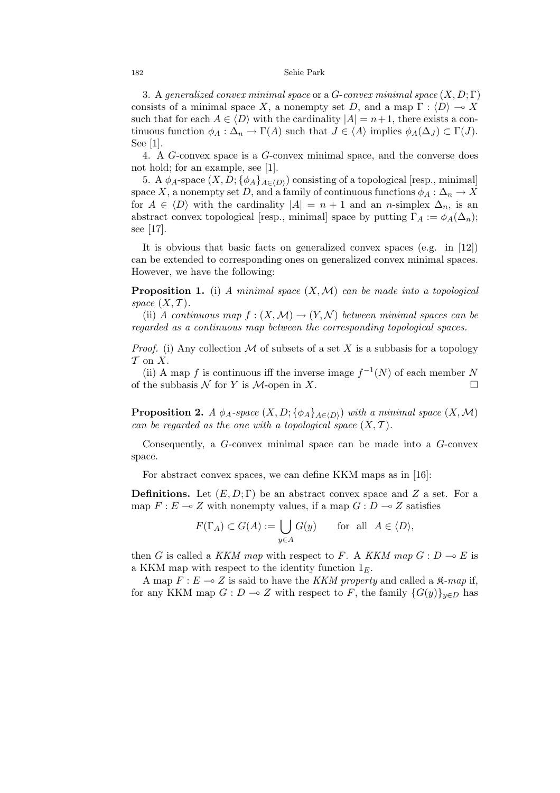#### 182 Sehie Park

3. A generalized convex minimal space or a  $G$ -convex minimal space  $(X, D; \Gamma)$ consists of a minimal space X, a nonempty set D, and a map  $\Gamma : \langle D \rangle \to X$ such that for each  $A \in \langle D \rangle$  with the cardinality  $|A| = n+1$ , there exists a continuous function  $\phi_A : \Delta_n \to \Gamma(A)$  such that  $J \in \langle A \rangle$  implies  $\phi_A(\Delta_J) \subset \Gamma(J)$ . See [1].

4. A G-convex space is a G-convex minimal space, and the converse does not hold; for an example, see [1].

5. A  $\phi_A$ -space  $(X, D; {\phi_A}_{A\in(D)})$  consisting of a topological [resp., minimal] space X, a nonempty set D, and a family of continuous functions  $\phi_A : \Delta_n \to X$ for  $A \in \langle D \rangle$  with the cardinality  $|A| = n + 1$  and an n-simplex  $\Delta_n$ , is an abstract convex topological [resp., minimal] space by putting  $\Gamma_A := \phi_A(\Delta_n);$ see [17].

It is obvious that basic facts on generalized convex spaces (e.g. in [12]) can be extended to corresponding ones on generalized convex minimal spaces. However, we have the following:

**Proposition 1.** (i) A minimal space  $(X, \mathcal{M})$  can be made into a topological space  $(X, \mathcal{T})$ .

(ii) A continuous map  $f:(X,\mathcal{M})\to (Y,\mathcal{N})$  between minimal spaces can be regarded as a continuous map between the corresponding topological spaces.

*Proof.* (i) Any collection M of subsets of a set X is a subbasis for a topology  $\mathcal T$  on  $X$ .

(ii) A map f is continuous iff the inverse image  $f^{-1}(N)$  of each member N of the subbasis  $\mathcal N$  for Y is  $\mathcal M$ -open in X.

**Proposition 2.** A  $\phi_A$ -space  $(X, D; {\phi_A}_{A \in \langle D \rangle})$  with a minimal space  $(X, \mathcal{M})$ can be regarded as the one with a topological space  $(X, \mathcal{T})$ .

Consequently, a G-convex minimal space can be made into a G-convex space.

For abstract convex spaces, we can define KKM maps as in [16]:

**Definitions.** Let  $(E, D; \Gamma)$  be an abstract convex space and Z a set. For a map  $F : E \multimap Z$  with nonempty values, if a map  $G : D \multimap Z$  satisfies

$$
F(\Gamma_A) \subset G(A) := \bigcup_{y \in A} G(y) \quad \text{for all } A \in \langle D \rangle,
$$

then G is called a KKM map with respect to F. A KKM map  $G: D \to E$  is a KKM map with respect to the identity function  $1<sub>E</sub>$ .

A map  $F : E \multimap Z$  is said to have the KKM property and called a  $\mathfrak{K}\text{-}map$  if, for any KKM map  $G: D \multimap Z$  with respect to F, the family  $\{G(y)\}_{y \in D}$  has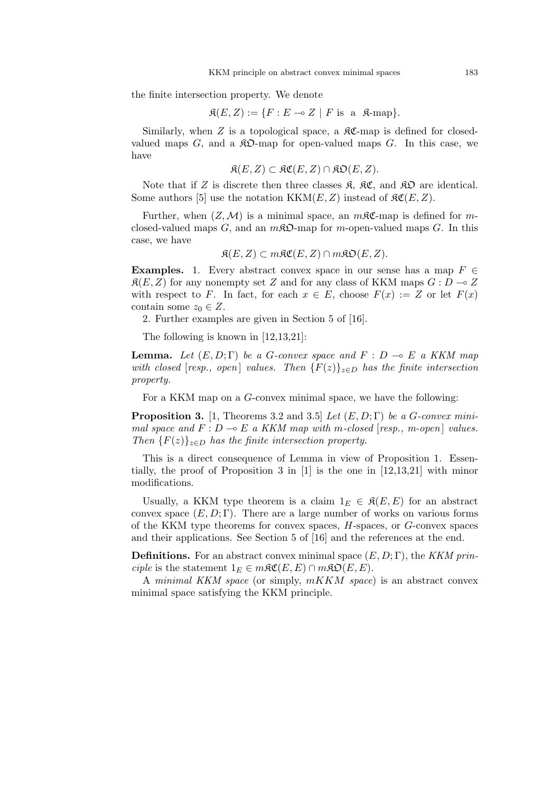the finite intersection property. We denote

$$
\mathfrak{K}(E, Z) := \{ F : E \multimap Z \mid F \text{ is a } \mathfrak{K}\text{-map} \}.
$$

Similarly, when  $Z$  is a topological space, a  $\Re\mathfrak{C}$ -map is defined for closedvalued maps  $G$ , and a  $\mathcal{R}D$ -map for open-valued maps  $G$ . In this case, we have

$$
\mathfrak{K}(E,Z) \subset \mathfrak{KC}(E,Z) \cap \mathfrak{KD}(E,Z).
$$

Note that if Z is discrete then three classes  $\mathfrak{K}$ ,  $\mathfrak{K} \mathfrak{C}$ , and  $\mathfrak{K} \mathfrak{D}$  are identical. Some authors [5] use the notation  $KKM(E, Z)$  instead of  $\mathcal{RC}(E, Z)$ .

Further, when  $(Z, M)$  is a minimal space, an  $m\mathcal{RC}$ -map is defined for mclosed-valued maps  $G$ , and an  $m\mathcal{R}\mathfrak{D}$ -map for m-open-valued maps  $G$ . In this case, we have

 $\mathfrak{K}(E, Z) \subset m\mathfrak{K}\mathfrak{C}(E, Z) \cap m\mathfrak{K}\mathfrak{O}(E, Z).$ 

**Examples.** 1. Every abstract convex space in our sense has a map  $F \in$  $\mathfrak{K}(E, Z)$  for any nonempty set Z and for any class of KKM maps  $G : D \to Z$ with respect to F. In fact, for each  $x \in E$ , choose  $F(x) := Z$  or let  $F(x)$ contain some  $z_0 \in Z$ .

2. Further examples are given in Section 5 of [16].

The following is known in [12,13,21]:

**Lemma.** Let  $(E, D; \Gamma)$  be a G-convex space and  $F : D \multimap E$  a KKM map with closed [resp., open] values. Then  ${F(z)}_{z\in D}$  has the finite intersection property.

For a KKM map on a G-convex minimal space, we have the following:

**Proposition 3.** [1, Theorems 3.2 and 3.5] Let  $(E, D; \Gamma)$  be a G-convex minimal space and  $F : D \multimap E$  a KKM map with m-closed [resp., m-open] values. Then  ${F(z)}_{z\in D}$  has the finite intersection property.

This is a direct consequence of Lemma in view of Proposition 1. Essentially, the proof of Proposition 3 in [1] is the one in [12,13,21] with minor modifications.

Usually, a KKM type theorem is a claim  $1_E \in \mathfrak{K}(E,E)$  for an abstract convex space  $(E, D; \Gamma)$ . There are a large number of works on various forms of the KKM type theorems for convex spaces, H-spaces, or G-convex spaces and their applications. See Section 5 of [16] and the references at the end.

**Definitions.** For an abstract convex minimal space  $(E, D; \Gamma)$ , the KKM principle is the statement  $1_E \in m\mathfrak{RC}(E, E) \cap m\mathfrak{RO}(E, E)$ .

A minimal KKM space (or simply, mKKM space) is an abstract convex minimal space satisfying the KKM principle.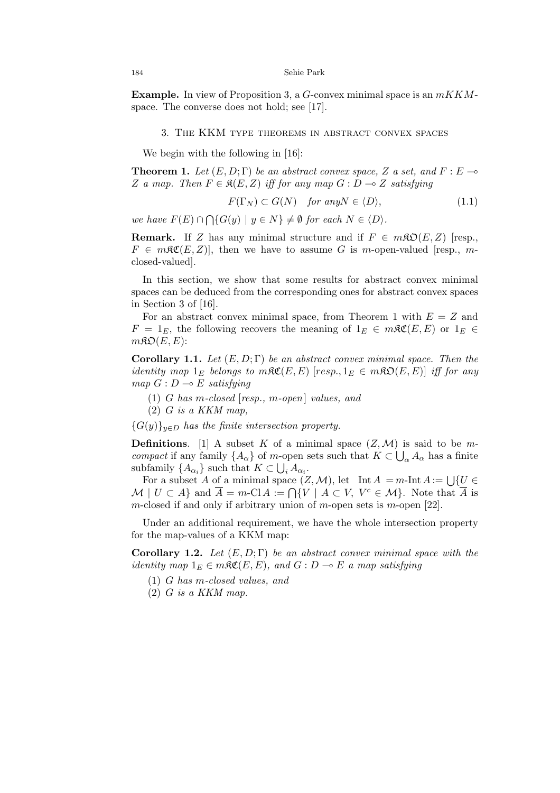**Example.** In view of Proposition 3, a G-convex minimal space is an  $mKKM$ space. The converse does not hold; see [17].

## 3. The KKM type theorems in abstract convex spaces

We begin with the following in [16]:

**Theorem 1.** Let  $(E, D; \Gamma)$  be an abstract convex space, Z a set, and  $F: E \rightarrow$ Z a map. Then  $F \in \mathfrak{K}(E, Z)$  iff for any map  $G : D \to Z$  satisfying

$$
F(\Gamma_N) \subset G(N) \quad \text{for any } N \in \langle D \rangle,
$$
 (1.1)

we have  $F(E) \cap$  $\overline{a}$  $\{G(y) \mid y \in N\} \neq \emptyset$  for each  $N \in \langle D \rangle$ .

**Remark.** If Z has any minimal structure and if  $F \in m\mathfrak{D}(E, Z)$  [resp.,  $F \in m\mathfrak{RC}(E, Z)$ , then we have to assume G is m-open-valued [resp., mclosed-valued].

In this section, we show that some results for abstract convex minimal spaces can be deduced from the corresponding ones for abstract convex spaces in Section 3 of [16].

For an abstract convex minimal space, from Theorem 1 with  $E = Z$  and  $F = 1_E$ , the following recovers the meaning of  $1_E \in m\mathfrak{RC}(E, E)$  or  $1_E \in$  $m\mathfrak{KO}(E,E)$ :

**Corollary 1.1.** Let  $(E, D; \Gamma)$  be an abstract convex minimal space. Then the identity map  $1_E$  belongs to m $\Re \mathfrak{C}(E, E)$  [resp.,  $1_E \in m\Re \mathfrak{O}(E, E)$ ] iff for any map  $G: D \longrightarrow E$  satisfying

- (1) G has m-closed [resp., m-open] values, and
- $(2)$  G is a KKM map,

 ${G(y)}_{y\in D}$  has the finite intersection property.

**Definitions.** [1] A subset K of a minimal space  $(Z, \mathcal{M})$  is said to be mcompact if any family  $\{A_{\alpha}\}\$  of m-open sets such that  $K \subset \bigcup_{\alpha} A_{\alpha}$  has a finite subfamily  $\{A_{\alpha_i}\}\$  such that  $K \subset \bigcup_i A_{\alpha_i}$ .

For a subset A of a minimal space  $(Z, \mathcal{M})$ , let  $\text{Int } A = m\text{-Int } A := \bigcup \{U \in$ For a subset A of a minimal space  $(Z, \mathcal{M})$ , let  $\text{Int } A = m$ -int  $A := \bigcup \{U \in \mathcal{M} \mid U \subset A\}$  and  $\overline{A} = m$ -Cl $A := \bigcap \{V \mid A \subset V, V^c \in \mathcal{M}\}$ . Note that  $\overline{A}$  is m-closed if and only if arbitrary union of m-open sets is m-open  $[22]$ .

Under an additional requirement, we have the whole intersection property for the map-values of a KKM map:

Corollary 1.2. Let  $(E, D; \Gamma)$  be an abstract convex minimal space with the identity map  $1_E \in m\mathfrak{RC}(E, E)$ , and  $G : D \multimap E$  a map satisfying

- (1) G has m-closed values, and
- $(2)$  G is a KKM map.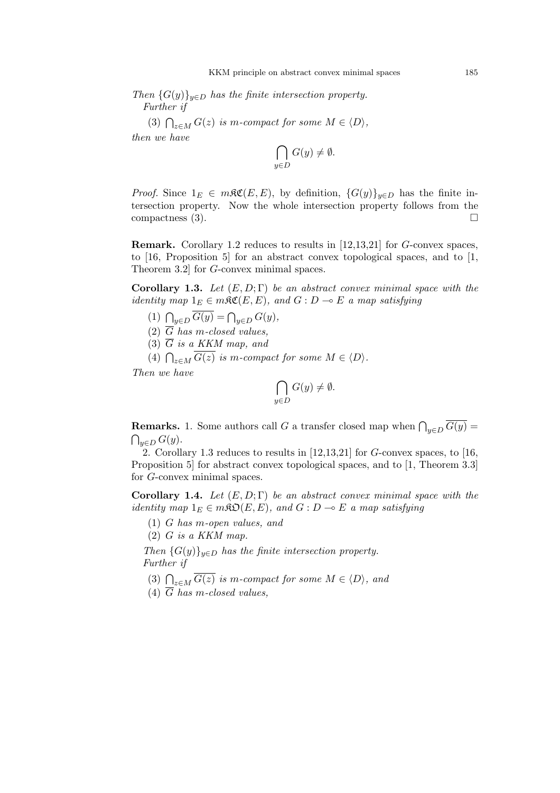Then  $\{G(y)\}_{y\in D}$  has the finite intersection property. Further if

(3) 
$$
\bigcap_{z \in M} G(z)
$$
 is m-compact for some  $M \in \langle D \rangle$ ,

then we have

$$
\bigcap_{y \in D} G(y) \neq \emptyset.
$$

*Proof.* Since  $1_E \in m\Re\mathfrak{C}(E,E)$ , by definition,  $\{G(y)\}_{y\in D}$  has the finite intersection property. Now the whole intersection property follows from the compactness  $(3)$ .

Remark. Corollary 1.2 reduces to results in [12,13,21] for G-convex spaces, to [16, Proposition 5] for an abstract convex topological spaces, and to [1, Theorem 3.2] for G-convex minimal spaces.

Corollary 1.3. Let  $(E, D; \Gamma)$  be an abstract convex minimal space with the identity map  $1_E \in m\mathfrak{RC}(E, E)$ , and  $G : D \multimap E$  a map satisfying

- (1)  $\bigcap_{y \in D} \overline{G(y)} = \bigcap_{y \in D} G(y),$
- (2)  $\overline{G}$  has m-closed values,
- (3)  $\overline{G}$  is a KKM map, and

(3) G is a KKM map, and<br>
(4)  $\bigcap_{z \in M} \overline{G(z)}$  is m-compact for some  $M \in \langle D \rangle$ .

Then we have

$$
\bigcap_{y \in D} G(y) \neq \emptyset.
$$

**Remarks.** 1. Some authors call G a transfer closed map when  $\bigcap_{y \in D} \overline{G(y)} =$  $\bigcap_{y\in D} G(y).$ 

2. Corollary 1.3 reduces to results in  $[12,13,21]$  for G-convex spaces, to [16, Proposition 5] for abstract convex topological spaces, and to [1, Theorem 3.3] for G-convex minimal spaces.

Corollary 1.4. Let  $(E, D; \Gamma)$  be an abstract convex minimal space with the identity map  $1_E \in m\mathfrak{SO}(E, E)$ , and  $G : D \multimap E$  a map satisfying

- (1) G has m-open values, and
- $(2)$  G is a KKM map.

Then  ${G(y)}_{y\in D}$  has the finite intersection property. Further if

- (3)  $\bigcap_{z \in M} \overline{G(z)}$  is m-compact for some  $M \in \langle D \rangle$ , and
- (4)  $\overline{G}$  has m-closed values,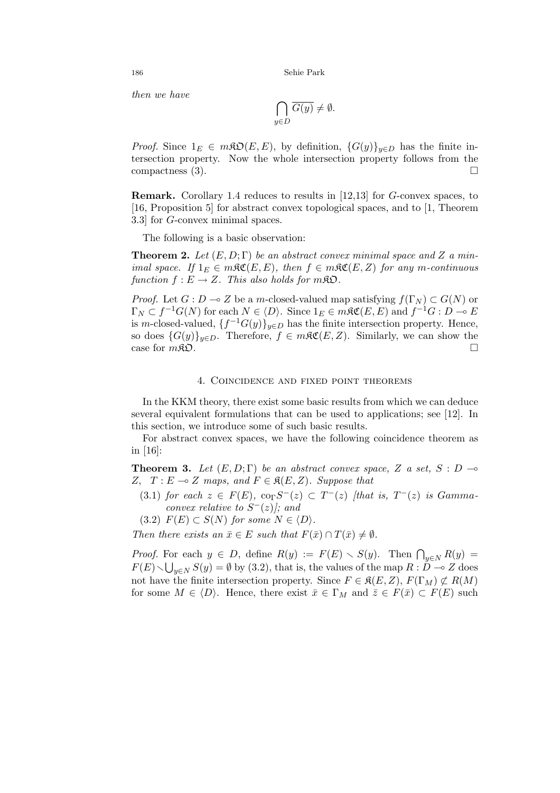186 Sehie Park

then we have

$$
\bigcap_{y \in D} \overline{G(y)} \neq \emptyset.
$$

*Proof.* Since  $1_E \in m\mathfrak{RO}(E, E)$ , by definition,  $\{G(y)\}_{y \in D}$  has the finite intersection property. Now the whole intersection property follows from the compactness (3).  $\Box$ 

Remark. Corollary 1.4 reduces to results in [12,13] for G-convex spaces, to [16, Proposition 5] for abstract convex topological spaces, and to [1, Theorem 3.3] for G-convex minimal spaces.

The following is a basic observation:

**Theorem 2.** Let  $(E, D; \Gamma)$  be an abstract convex minimal space and Z a minimal space. If  $1_E \in m\Re\mathfrak{C}(E,E)$ , then  $f \in m\Re\mathfrak{C}(E,Z)$  for any m-continuous function  $f : E \to Z$ . This also holds for  $m\mathfrak{K} \mathfrak{O}$ .

*Proof.* Let  $G : D \to Z$  be a m-closed-valued map satisfying  $f(\Gamma_N) \subset G(N)$  or  $\Gamma_N \subset f^{-1}G(N)$  for each  $N \in \langle D \rangle$ . Since  $1_E \in m$   $\mathcal{RC}(E, E)$  and  $f^{-1}G : D \multimap E$ is m-closed-valued,  $\{f^{-1}G(y)\}_{y\in D}$  has the finite intersection property. Hence, so does  $\{G(y)\}_{y\in D}$ . Therefore,  $f \in m\mathfrak{RC}(E, Z)$ . Similarly, we can show the case for  $m\mathfrak{K}$ **D**.

### 4. Coincidence and fixed point theorems

In the KKM theory, there exist some basic results from which we can deduce several equivalent formulations that can be used to applications; see [12]. In this section, we introduce some of such basic results.

For abstract convex spaces, we have the following coincidence theorem as in [16]:

**Theorem 3.** Let  $(E, D; \Gamma)$  be an abstract convex space, Z a set, S : D  $\rightarrow$ Z,  $T : E \multimap Z$  maps, and  $F \in \mathfrak{K}(E, Z)$ . Suppose that

- (3.1) for each  $z \in F(E)$ ,  $\text{co}_{\Gamma}S^{-}(z) \subset T^{-}(z)$  [that is,  $T^{-}(z)$  is Gammaconvex relative to  $S^{-}(z)$ ; and
- (3.2)  $F(E) \subset S(N)$  for some  $N \in \langle D \rangle$ .

Then there exists an  $\bar{x} \in E$  such that  $F(\bar{x}) \cap T(\bar{x}) \neq \emptyset$ .

*Proof.* For each  $y \in D$ , define  $R(y) := F(E) \setminus S(y)$ . Then  $\bigcap_{y \in N} R(y) =$  $F(E) \setminus \bigcup_{y \in N} S(y) = \emptyset$  by (3.2), that is, the values of the map  $R : D \multimap Z$  does not have the finite intersection property. Since  $F \in \mathfrak{K}(E, Z), F(\Gamma_M) \not\subset R(M)$ for some  $M \in \langle D \rangle$ . Hence, there exist  $\bar{x} \in \Gamma_M$  and  $\bar{z} \in F(\bar{x}) \subset F(E)$  such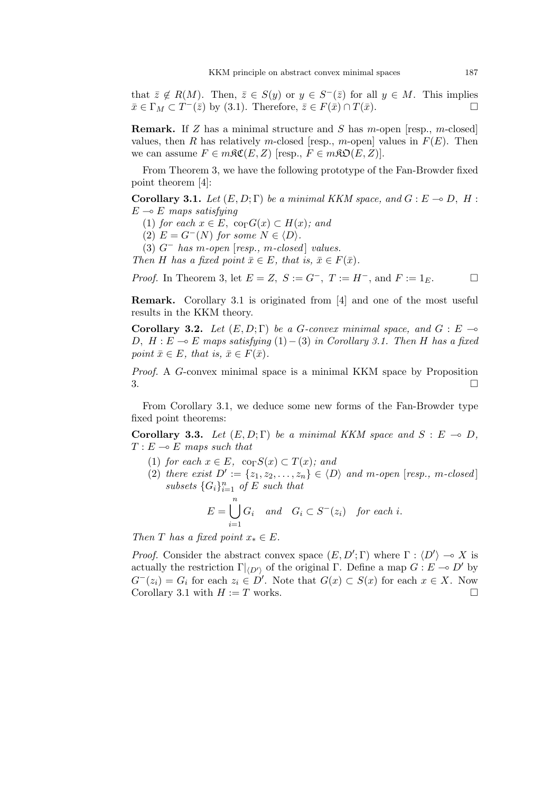that  $\overline{z} \notin R(M)$ . Then,  $\overline{z} \in S(y)$  or  $y \in S^{-}(\overline{z})$  for all  $y \in M$ . This implies  $\bar{x} \in \Gamma_M \subset T^-(\bar{z})$  by (3.1). Therefore,  $\bar{z} \in F(\bar{x}) \cap T(\bar{x})$ .

**Remark.** If Z has a minimal structure and S has m-open [resp., m-closed] values, then R has relatively m-closed [resp., m-open] values in  $F(E)$ . Then we can assume  $F \in m\mathfrak{RC}(E, Z)$  [resp.,  $F \in m\mathfrak{RO}(E, Z)$ ].

From Theorem 3, we have the following prototype of the Fan-Browder fixed point theorem [4]:

**Corollary 3.1.** Let  $(E, D; \Gamma)$  be a minimal KKM space, and  $G : E \to D$ , H :  $E \multimap E$  maps satisfying

- (1) for each  $x \in E$ , co<sub>Γ</sub> $G(x) \subset H(x)$ ; and
- (2)  $E = G^{-}(N)$  for some  $N \in \langle D \rangle$ .
- (3)  $G^-$  has m-open  $[resp., m-closed]$  values.

Then H has a fixed point  $\bar{x} \in E$ , that is,  $\bar{x} \in F(\bar{x})$ .

*Proof.* In Theorem 3, let  $E = Z$ ,  $S := G^-$ ,  $T := H^-$ , and  $F := 1_E$ .

Remark. Corollary 3.1 is originated from [4] and one of the most useful results in the KKM theory.

Corollary 3.2. Let  $(E, D; \Gamma)$  be a G-convex minimal space, and  $G : E \rightarrow$ D,  $H : E \multimap E$  maps satisfying (1) – (3) in Corollary 3.1. Then H has a fixed point  $\bar{x} \in E$ , that is,  $\bar{x} \in F(\bar{x})$ .

Proof. A G-convex minimal space is a minimal KKM space by Proposition  $3.$ 

From Corollary 3.1, we deduce some new forms of the Fan-Browder type fixed point theorems:

**Corollary 3.3.** Let  $(E, D; \Gamma)$  be a minimal KKM space and  $S : E \to D$ ,  $T : E \multimap E$  maps such that

- (1) for each  $x \in E$ , co<sub>Γ</sub> $S(x) \subset T(x)$ ; and
- (2) there exist  $D' := \{z_1, z_2, \ldots, z_n\} \in \langle D \rangle$  and m-open [resp., m-closed] subsets  $\{G_i\}_{i=1}^n$  of E such that

$$
E = \bigcup_{i=1}^{n} G_i \quad and \quad G_i \subset S^-(z_i) \quad for each i.
$$

Then T has a fixed point  $x_* \in E$ .

*Proof.* Consider the abstract convex space  $(E, D'; \Gamma)$  where  $\Gamma : \langle D' \rangle \to X$  is actually the restriction  $\Gamma|_{\langle D'\rangle}$  of the original Γ. Define a map  $G : E \to D'$  by  $G^{-}(z_i) = G_i$  for each  $z_i \in D'$ . Note that  $G(x) \subset S(x)$  for each  $x \in X$ . Now Corollary 3.1 with  $H := T$  works.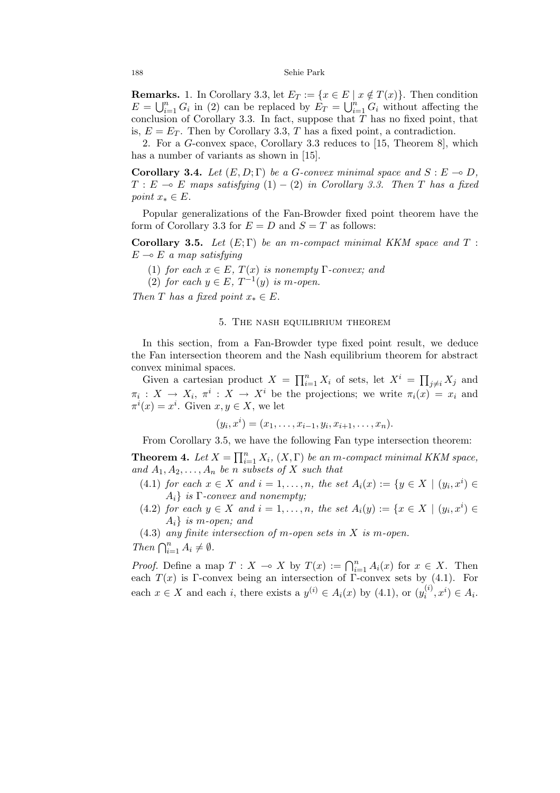**Remarks.** 1. In Corollary 3.3, let  $E_T := \{x \in E \mid x \notin T(x)\}\.$  Then condition  $\mathbf{E} = \bigcup_{i=1}^n$ **EXS.** 1. In Coronary 3.3, let  $E_T := \{x \in E \mid n \ge 0\}$  can be replaced by  $E_T = \bigcup_{i=1}^n G_i$  $\sum_{i=1}^{n} G_i$  without affecting the conclusion of Corollary 3.3. In fact, suppose that  $\overline{T}$  has no fixed point, that is,  $E = E_T$ . Then by Corollary 3.3, T has a fixed point, a contradiction.

2. For a G-convex space, Corollary 3.3 reduces to [15, Theorem 8], which has a number of variants as shown in [15].

Corollary 3.4. Let  $(E, D; \Gamma)$  be a G-convex minimal space and  $S : E \to D$ ,  $T : E \multimap E$  maps satisfying (1) – (2) in Corollary 3.3. Then T has a fixed point  $x_* \in E$ .

Popular generalizations of the Fan-Browder fixed point theorem have the form of Corollary 3.3 for  $E = D$  and  $S = T$  as follows:

Corollary 3.5. Let  $(E; \Gamma)$  be an m-compact minimal KKM space and T:  $E \multimap E$  a map satisfying

- (1) for each  $x \in E$ ,  $T(x)$  is nonempty  $\Gamma$ -convex; and
- (2) for each  $y \in E$ ,  $T^{-1}(y)$  is m-open.

Then T has a fixed point  $x_* \in E$ .

## 5. The nash equilibrium theorem

In this section, from a Fan-Browder type fixed point result, we deduce the Fan intersection theorem and the Nash equilibrium theorem for abstract convex minimal spaces.

Given a cartesian product  $X = \prod_{i=1}^{n} X_i$  of sets, let  $X^i = \prod$  $_{j\neq i} X_j$  and  $\pi_i: X \to X_i, \pi^i: X \to X^i$  be the projections; we write  $\pi_i(x) = x_i$  and  $\pi^{i}(x) = x^{i}$ . Given  $x, y \in X$ , we let

$$
(y_i, x^i) = (x_1, \ldots, x_{i-1}, y_i, x_{i+1}, \ldots, x_n).
$$

From Corollary 3.5, we have the following Fan type intersection theorem:

Theorem 4. Let  $X = \prod_{i=1}^n X_i$  $\sum_{i=1}^{n} X_i$ ,  $(X, \Gamma)$  be an m-compact minimal KKM space, and  $A_1, A_2, \ldots, A_n$  be n subsets of X such that

- (4.1) for each  $x \in X$  and  $i = 1, \ldots, n$ , the set  $A_i(x) := \{y \in X \mid (y_i, x^i) \in X\}$  $A_i$  is Γ-convex and nonempty;
- (4.2) for each  $y \in X$  and  $i = 1, \ldots, n$ , the set  $A_i(y) := \{x \in X \mid (y_i, x^i) \in X\}$  $A_i$  is m-open; and
- (4.3) any finite intersection of m-open sets in X is m-open.

Then  $\bigcap_{i=1}^n A_i \neq \emptyset$ .

*Proof.* Define a map  $T : X \to X$  by  $T(x) := \bigcap_{i=1}^{n} A_i(x)$  for  $x \in X$ . Then each  $T(x)$  is Γ-convex being an intersection of Γ-convex sets by (4.1). For each  $x \in X$  and each i, there exists a  $y^{(i)} \in A_i(x)$  by (4.1), or  $(y_i^{(i)})$  $i^{(i)}, x^{i}) \in A_{i}.$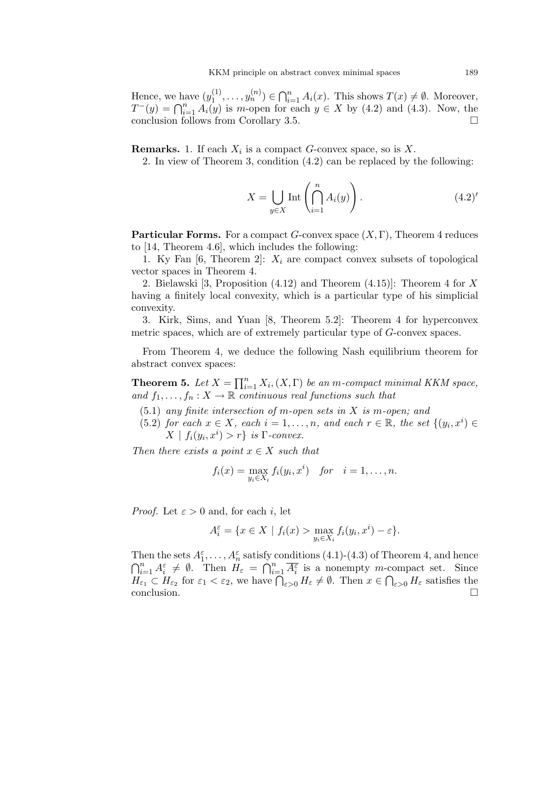Hence, we have  $(y_1^{(1)})$  $y_1^{(1)}, \ldots, y_n^{(n)}) \in \bigcap_{i=1}^n$  $_{i=1}^{n} A_i(x)$ . This shows  $T(x) \neq \emptyset$ . Moreover, mence, we nave  $(y_1^-, \ldots, y_n^+) \in \prod_{i=1}^n A_i(x)$ . This shows  $I(x) \neq \emptyset$ . Moreover,<br>  $T^-(y) = \bigcap_{i=1}^n A_i(y)$  is m-open for each  $y \in X$  by (4.2) and (4.3). Now, the conclusion follows from Corollary 3.5.

**Remarks.** 1. If each  $X_i$  is a compact G-convex space, so is X.

2. In view of Theorem 3, condition (4.2) can be replaced by the following:

$$
X = \bigcup_{y \in X} \text{Int}\left(\bigcap_{i=1}^{n} A_i(y)\right). \tag{4.2}'
$$

**Particular Forms.** For a compact G-convex space  $(X, \Gamma)$ , Theorem 4 reduces to [14, Theorem 4.6], which includes the following:

1. Ky Fan  $[6,$  Theorem 2]:  $X_i$  are compact convex subsets of topological vector spaces in Theorem 4.

2. Bielawski [3, Proposition (4.12) and Theorem (4.15)]: Theorem 4 for X having a finitely local convexity, which is a particular type of his simplicial convexity.

3. Kirk, Sims, and Yuan [8, Theorem 5.2]: Theorem 4 for hyperconvex metric spaces, which are of extremely particular type of G-convex spaces.

From Theorem 4, we deduce the following Nash equilibrium theorem for abstract convex spaces:

**Theorem 5.** Let  $X = \prod_{i=1}^{n} X_i$  $_{i=1}^{n} X_{i}$ ,  $(X,\Gamma)$  be an m-compact minimal KKM space, and  $f_1, \ldots, f_n : X \to \mathbb{R}$  continuous real functions such that

- $(5.1)$  any finite intersection of m-open sets in X is m-open; and
- (5.2) for each  $x \in X$ , each  $i = 1, \ldots, n$ , and each  $r \in \mathbb{R}$ , the set  $\{(y_i, x^i) \in$  $X | f_i(y_i, x^i) > r$ } is  $\Gamma$ -convex.

Then there exists a point  $x \in X$  such that

$$
f_i(x) = \max_{y_i \in X_i} f_i(y_i, x^i) \quad \text{for} \quad i = 1, \dots, n.
$$

*Proof.* Let  $\varepsilon > 0$  and, for each i, let

$$
A_i^{\varepsilon} = \{ x \in X \mid f_i(x) > \max_{y_i \in X_i} f_i(y_i, x^i) - \varepsilon \}.
$$

Then the sets  $A_1^{\varepsilon}, \ldots, A_n^{\varepsilon}$  satisfy conditions  $(4.1)-(4.3)$  of Theorem 4, and hence Then the sets  $A_1, \ldots, A_n$  satisfy conditions (4.1)-(4.3) of Theorem 4, and hence<br>  $\bigcap_{i=1}^n A_i^{\varepsilon} \neq \emptyset$ . Then  $H_{\varepsilon} = \bigcap_{i=1}^n \overline{A_i^{\varepsilon}}$  is a nonempty *m*-compact set. Since  $H_{\varepsilon_1} \subset H_{\varepsilon_2}$  for  $\varepsilon_1 < \varepsilon_2$ , we have  $\bigcap_{\varepsilon > 0} H_{\varepsilon} \neq \emptyset$ . Then  $x \in \bigcap_{\varepsilon > 0} H_{\varepsilon}$  satisfies the  $\Box$ conclusion.  $\Box$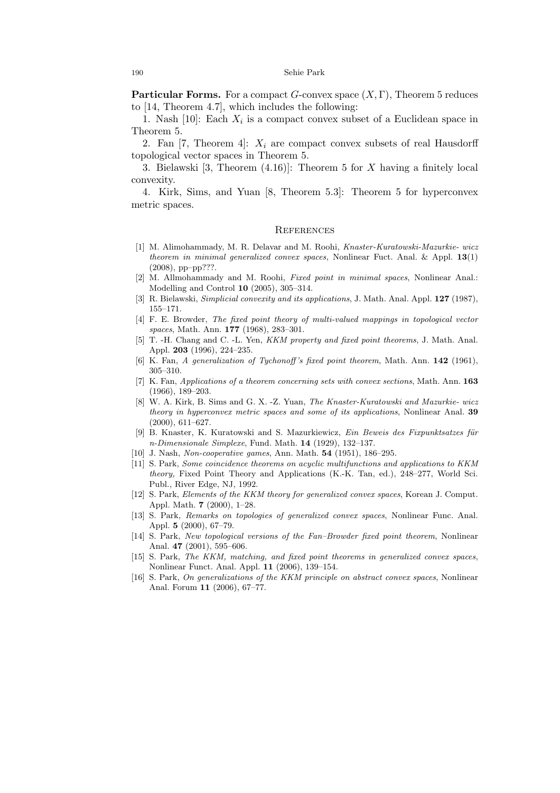**Particular Forms.** For a compact  $G$ -convex space  $(X, \Gamma)$ , Theorem 5 reduces to [14, Theorem 4.7], which includes the following:

1. Nash [10]: Each  $X_i$  is a compact convex subset of a Euclidean space in Theorem 5.

2. Fan  $[7,$  Theorem 4:  $X_i$  are compact convex subsets of real Hausdorff topological vector spaces in Theorem 5.

3. Bielawski [3, Theorem (4.16)]: Theorem 5 for X having a finitely local convexity.

4. Kirk, Sims, and Yuan [8, Theorem 5.3]: Theorem 5 for hyperconvex metric spaces.

## **REFERENCES**

- [1] M. Alimohammady, M. R. Delavar and M. Roohi, Knaster-Kuratowski-Mazurkie- wicz theorem in minimal generalized convex spaces, Nonlinear Fuct. Anal. & Appl.  $13(1)$ (2008), pp–pp???.
- [2] M. Allmohammady and M. Roohi, Fixed point in minimal spaces, Nonlinear Anal.: Modelling and Control 10 (2005), 305–314.
- [3] R. Bielawski, *Simplicial convexity and its applications*, J. Math. Anal. Appl. **127** (1987), 155–171.
- [4] F. E. Browder, The fixed point theory of multi-valued mappings in topological vector spaces, Math. Ann. **177** (1968), 283–301.
- [5] T. -H. Chang and C. -L. Yen, *KKM property and fixed point theorems*, J. Math. Anal. Appl. 203 (1996), 224–235.
- [6] K. Fan, A generalization of Tychonoff's fixed point theorem, Math. Ann. 142 (1961), 305–310.
- [7] K. Fan, Applications of a theorem concerning sets with convex sections, Math. Ann. 163 (1966), 189–203.
- [8] W. A. Kirk, B. Sims and G. X. -Z. Yuan, The Knaster-Kuratowski and Mazurkie- wicz theory in hyperconvex metric spaces and some of its applications, Nonlinear Anal. 39 (2000), 611–627.
- [9] B. Knaster, K. Kuratowski and S. Mazurkiewicz, Ein Beweis des Fixpunktsatzes für n-Dimensionale Simplexe, Fund. Math. 14 (1929), 132–137.
- [10] J. Nash, Non-cooperative games, Ann. Math. 54 (1951), 186–295.
- [11] S. Park, Some coincidence theorems on acyclic multifunctions and applications to KKM theory, Fixed Point Theory and Applications (K.-K. Tan, ed.), 248–277, World Sci. Publ., River Edge, NJ, 1992.
- [12] S. Park, Elements of the KKM theory for generalized convex spaces, Korean J. Comput. Appl. Math. 7 (2000), 1–28.
- [13] S. Park, Remarks on topologies of generalized convex spaces, Nonlinear Func. Anal. Appl. 5 (2000), 67–79.
- [14] S. Park, New topological versions of the Fan–Browder fixed point theorem, Nonlinear Anal. 47 (2001), 595–606.
- [15] S. Park, The KKM, matching, and fixed point theorems in generalized convex spaces, Nonlinear Funct. Anal. Appl. 11 (2006), 139–154.
- [16] S. Park, On generalizations of the KKM principle on abstract convex spaces, Nonlinear Anal. Forum 11 (2006), 67–77.